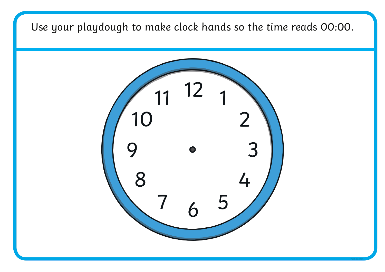Use your playdough to make clock hands so the time reads 00:00.

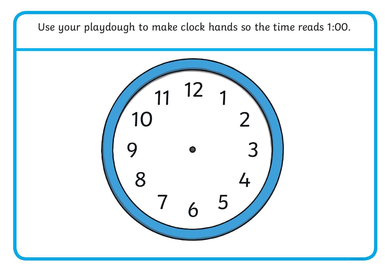Use your playdough to make clock hands so the time reads 1:00.

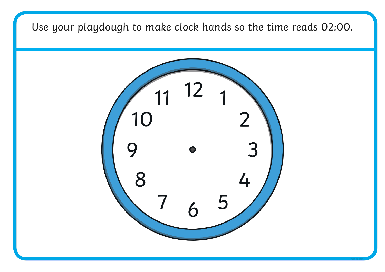Use your playdough to make clock hands so the time reads 02:00.

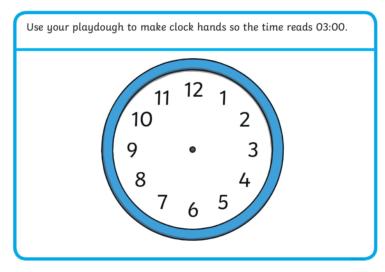Use your playdough to make clock hands so the time reads 03:00.

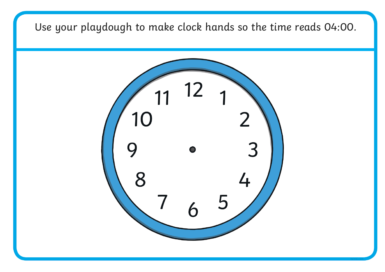Use your playdough to make clock hands so the time reads 04:00.

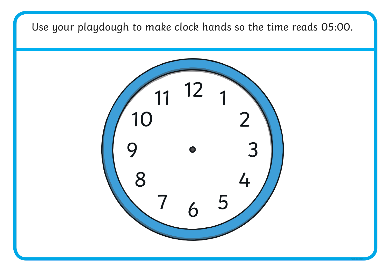Use your playdough to make clock hands so the time reads 05:00.

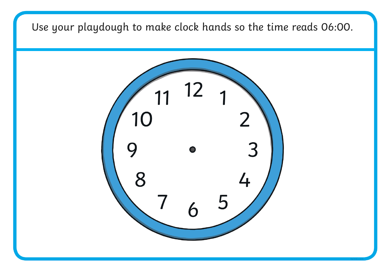Use your playdough to make clock hands so the time reads 06:00.

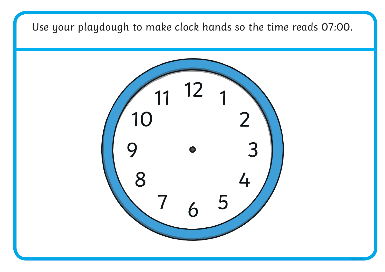Use your playdough to make clock hands so the time reads 07:00.

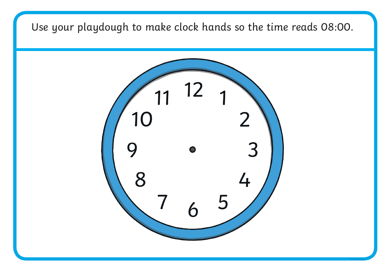Use your playdough to make clock hands so the time reads 08:00.

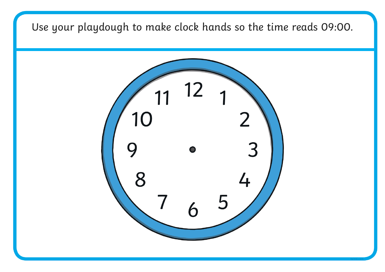Use your playdough to make clock hands so the time reads 09:00.

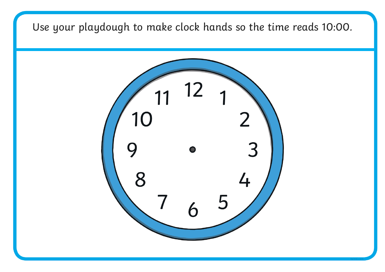Use your playdough to make clock hands so the time reads 10:00.

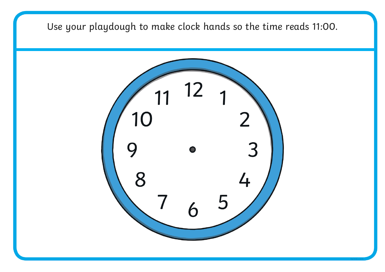Use your playdough to make clock hands so the time reads 11:00.

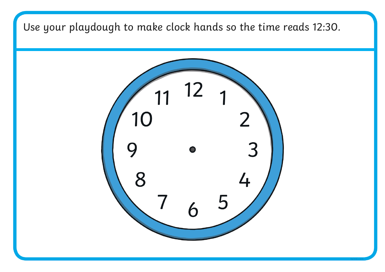Use your playdough to make clock hands so the time reads 12:30.

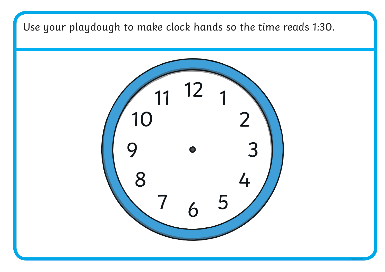Use your playdough to make clock hands so the time reads 1:30.

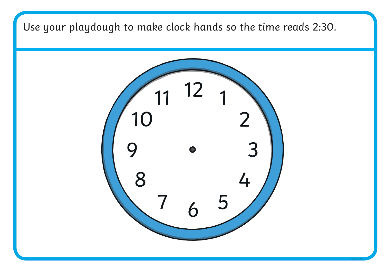Use your playdough to make clock hands so the time reads 2:30.

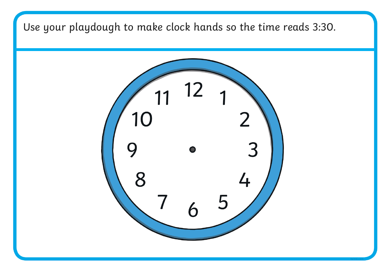Use your playdough to make clock hands so the time reads 3:30.

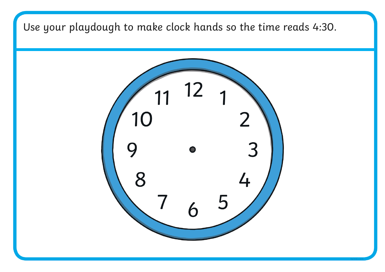Use your playdough to make clock hands so the time reads 4:30.

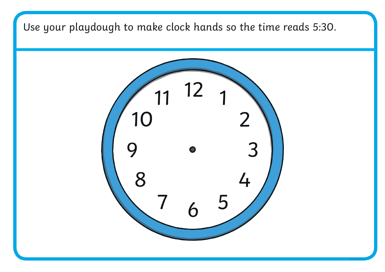Use your playdough to make clock hands so the time reads 5:30.

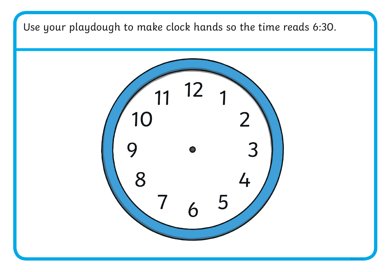Use your playdough to make clock hands so the time reads 6:30.

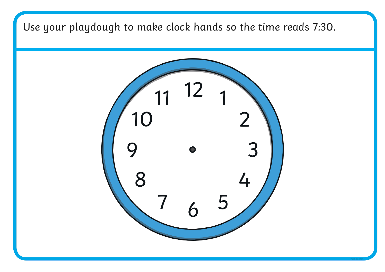Use your playdough to make clock hands so the time reads 7:30.

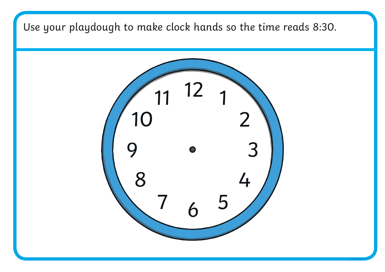Use your playdough to make clock hands so the time reads 8:30.

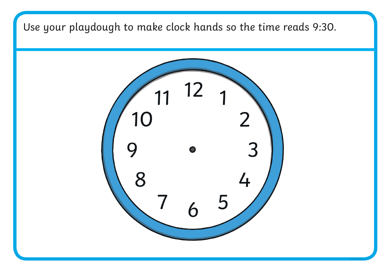Use your playdough to make clock hands so the time reads 9:30.

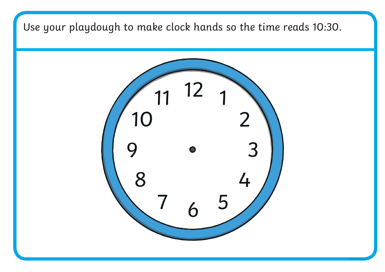Use your playdough to make clock hands so the time reads 10:30.